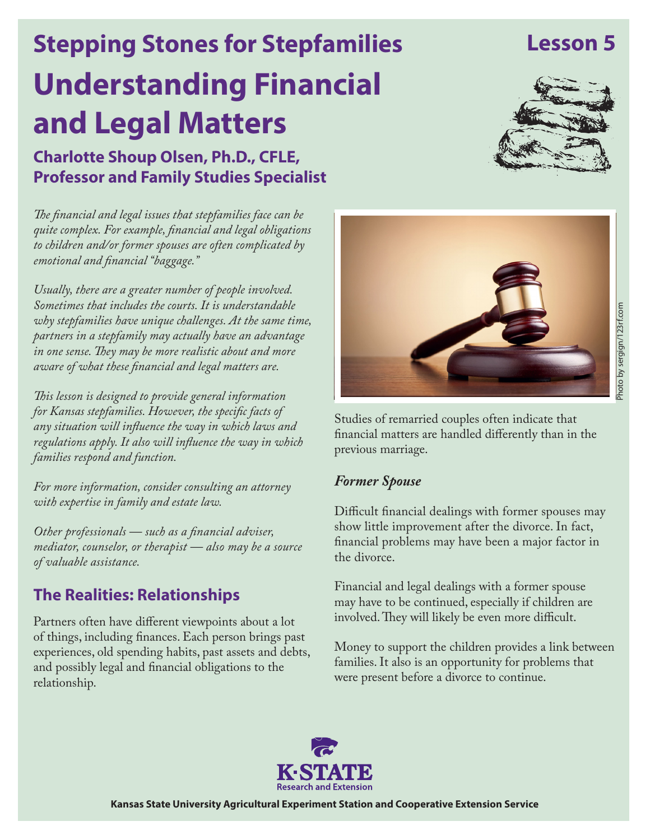# **Understanding Financial and Legal Matters Stepping Stones for Stepfamilies Charlotte Shoup Olsen, Ph.D., CFLE,**

**Lesson 5**

*The financial and legal issues that stepfamilies face can be quite complex. For example, financial and legal obligations to children and/or former spouses are often complicated by emotional and financial "baggage."* 

**Professor and Family Studies Specialist**

*Usually, there are a greater number of people involved. Sometimes that includes the courts. It is understandable why stepfamilies have unique challenges. At the same time, partners in a stepfamily may actually have an advantage in one sense. They may be more realistic about and more aware of what these financial and legal matters are.*

*This lesson is designed to provide general information for Kansas stepfamilies. However, the specific facts of any situation will influence the way in which laws and regulations apply. It also will influence the way in which families respond and function.* 

*For more information, consider consulting an attorney with expertise in family and estate law.* 

*Other professionals — such as a financial adviser, mediator, counselor, or therapist — also may be a source of valuable assistance.*

## **The Realities: Relationships**

Partners often have different viewpoints about a lot of things, including finances. Each person brings past experiences, old spending habits, past assets and debts, and possibly legal and financial obligations to the relationship.



Studies of remarried couples often indicate that financial matters are handled differently than in the previous marriage.

#### *Former Spouse*

Difficult financial dealings with former spouses may show little improvement after the divorce. In fact, financial problems may have been a major factor in the divorce.

Financial and legal dealings with a former spouse may have to be continued, especially if children are involved. They will likely be even more difficult.

Money to support the children provides a link between families. It also is an opportunity for problems that were present before a divorce to continue.



**Kansas State University Agricultural Experiment Station and Cooperative Extension Service**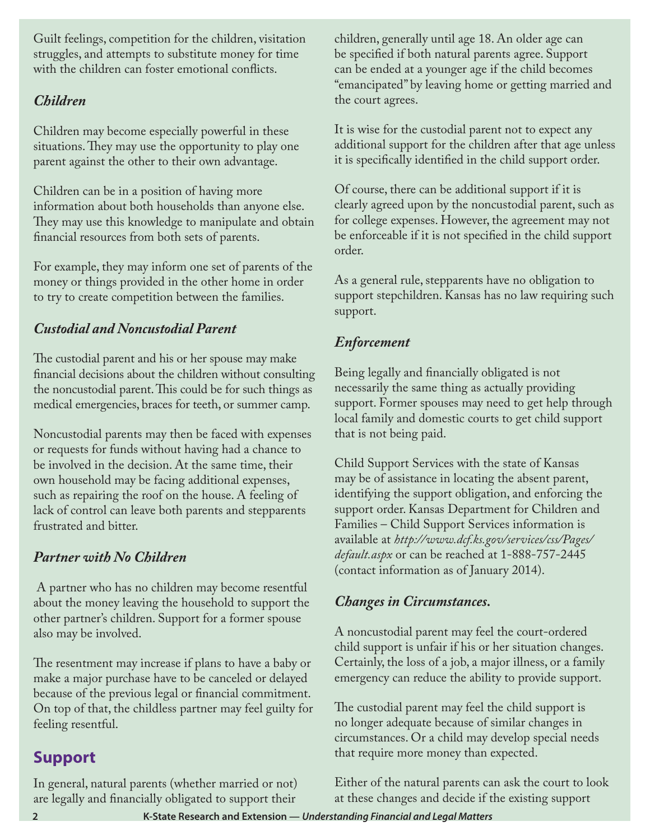Guilt feelings, competition for the children, visitation struggles, and attempts to substitute money for time with the children can foster emotional conflicts.

### *Children*

Children may become especially powerful in these situations. They may use the opportunity to play one parent against the other to their own advantage.

Children can be in a position of having more information about both households than anyone else. They may use this knowledge to manipulate and obtain financial resources from both sets of parents.

For example, they may inform one set of parents of the money or things provided in the other home in order to try to create competition between the families.

## *Custodial and Noncustodial Parent*

The custodial parent and his or her spouse may make financial decisions about the children without consulting the noncustodial parent. This could be for such things as medical emergencies, braces for teeth, or summer camp.

Noncustodial parents may then be faced with expenses or requests for funds without having had a chance to be involved in the decision. At the same time, their own household may be facing additional expenses, such as repairing the roof on the house. A feeling of lack of control can leave both parents and stepparents frustrated and bitter.

## *Partner with No Children*

 A partner who has no children may become resentful about the money leaving the household to support the other partner's children. Support for a former spouse also may be involved.

The resentment may increase if plans to have a baby or make a major purchase have to be canceled or delayed because of the previous legal or financial commitment. On top of that, the childless partner may feel guilty for feeling resentful.

## **Support**

In general, natural parents (whether married or not) are legally and financially obligated to support their

children, generally until age 18. An older age can be specified if both natural parents agree. Support can be ended at a younger age if the child becomes "emancipated" by leaving home or getting married and the court agrees.

It is wise for the custodial parent not to expect any additional support for the children after that age unless it is specifically identified in the child support order.

Of course, there can be additional support if it is clearly agreed upon by the noncustodial parent, such as for college expenses. However, the agreement may not be enforceable if it is not specified in the child support order.

As a general rule, stepparents have no obligation to support stepchildren. Kansas has no law requiring such support.

## *Enforcement*

Being legally and financially obligated is not necessarily the same thing as actually providing support. Former spouses may need to get help through local family and domestic courts to get child support that is not being paid.

Child Support Services with the state of Kansas may be of assistance in locating the absent parent, identifying the support obligation, and enforcing the support order. Kansas Department for Children and Families – Child Support Services information is available at *[http://www.dcf.ks.gov/services/css/Pages/](http://www.dcf.ks.gov/services/css/Pages/default.aspx) default.aspx* or can be reached at 1-888-757-2445 (contact information as of January 2014).

#### *Changes in Circumstances.*

A noncustodial parent may feel the court-ordered child support is unfair if his or her situation changes. Certainly, the loss of a job, a major illness, or a family emergency can reduce the ability to provide support.

The custodial parent may feel the child support is no longer adequate because of similar changes in circumstances. Or a child may develop special needs that require more money than expected.

Either of the natural parents can ask the court to look at these changes and decide if the existing support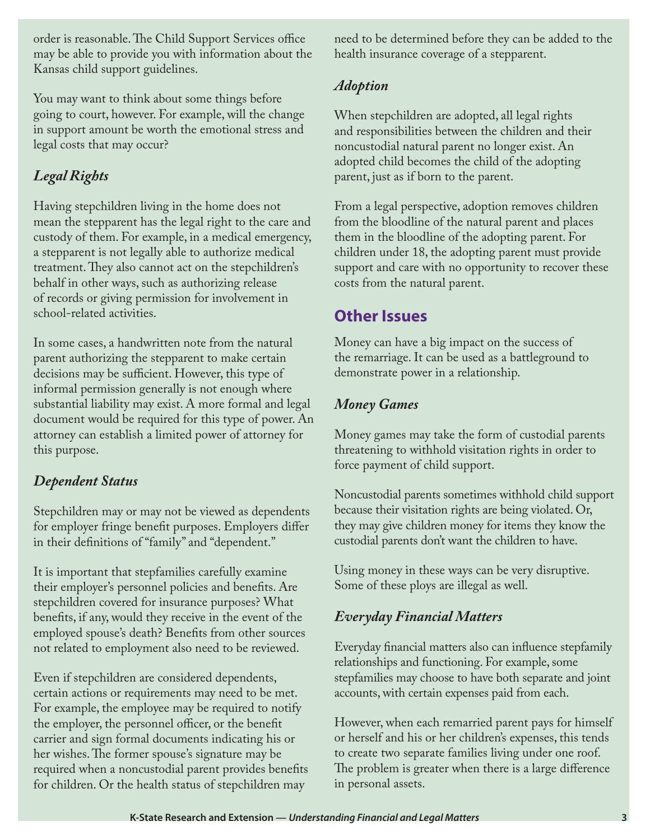order is reasonable. The Child Support Services office may be able to provide you with information about the Kansas child support guidelines.

You may want to think about some things before going to court, however. For example, will the change in support amount be worth the emotional stress and legal costs that may occur?

## *Legal Rights*

Having stepchildren living in the home does not mean the stepparent has the legal right to the care and custody of them. For example, in a medical emergency, a stepparent is not legally able to authorize medical treatment. They also cannot act on the stepchildren's behalf in other ways, such as authorizing release of records or giving permission for involvement in school-related activities.

In some cases, a handwritten note from the natural parent authorizing the stepparent to make certain decisions may be sufficient. However, this type of informal permission generally is not enough where substantial liability may exist. A more formal and legal document would be required for this type of power. An attorney can establish a limited power of attorney for this purpose.

#### *Dependent Status*

Stepchildren may or may not be viewed as dependents for employer fringe benefit purposes. Employers differ in their definitions of "family" and "dependent."

It is important that stepfamilies carefully examine their employer's personnel policies and benefits. Are stepchildren covered for insurance purposes? What benefits, if any, would they receive in the event of the employed spouse's death? Benefits from other sources not related to employment also need to be reviewed.

Even if stepchildren are considered dependents, certain actions or requirements may need to be met. For example, the employee may be required to notify the employer, the personnel officer, or the benefit carrier and sign formal documents indicating his or her wishes. The former spouse's signature may be required when a noncustodial parent provides benefits for children. Or the health status of stepchildren may

need to be determined before they can be added to the health insurance coverage of a stepparent.

#### *Adoption*

When stepchildren are adopted, all legal rights and responsibilities between the children and their noncustodial natural parent no longer exist. An adopted child becomes the child of the adopting parent, just as if born to the parent.

From a legal perspective, adoption removes children from the bloodline of the natural parent and places them in the bloodline of the adopting parent. For children under 18, the adopting parent must provide support and care with no opportunity to recover these costs from the natural parent.

## **Other Issues**

Money can have a big impact on the success of the remarriage. It can be used as a battleground to demonstrate power in a relationship.

#### *Money Games*

Money games may take the form of custodial parents threatening to withhold visitation rights in order to force payment of child support.

Noncustodial parents sometimes withhold child support because their visitation rights are being violated. Or, they may give children money for items they know the custodial parents don't want the children to have.

Using money in these ways can be very disruptive. Some of these ploys are illegal as well.

#### *Everyday Financial Matters*

Everyday financial matters also can influence stepfamily relationships and functioning. For example, some stepfamilies may choose to have both separate and joint accounts, with certain expenses paid from each.

However, when each remarried parent pays for himself or herself and his or her children's expenses, this tends to create two separate families living under one roof. The problem is greater when there is a large difference in personal assets.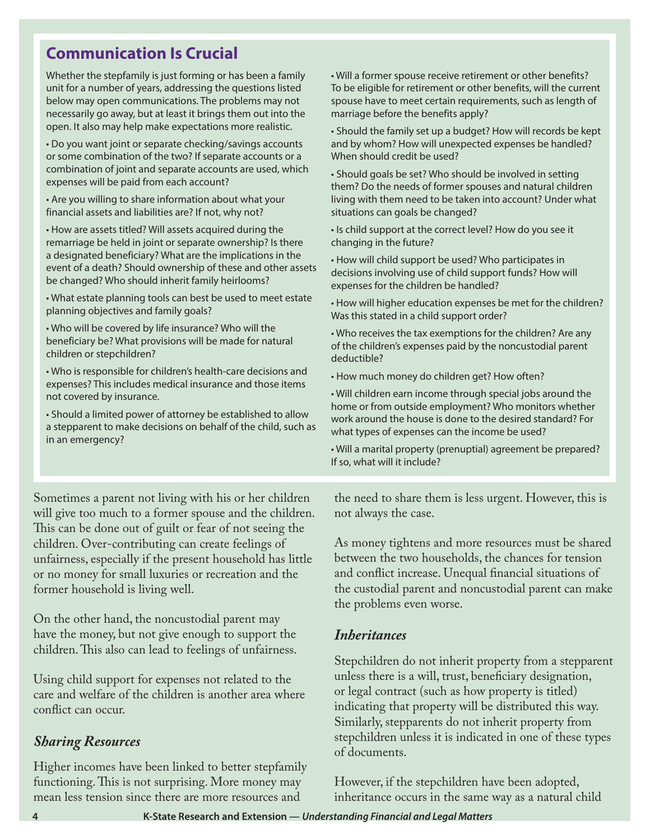## **Communication Is Crucial**

Whether the stepfamily is just forming or has been a family unit for a number of years, addressing the questions listed below may open communications. The problems may not necessarily go away, but at least it brings them out into the open. It also may help make expectations more realistic.

• Do you want joint or separate checking/savings accounts or some combination of the two? If separate accounts or a combination of joint and separate accounts are used, which expenses will be paid from each account?

• Are you willing to share information about what your financial assets and liabilities are? If not, why not?

• How are assets titled? Will assets acquired during the remarriage be held in joint or separate ownership? Is there a designated beneficiary? What are the implications in the event of a death? Should ownership of these and other assets be changed? Who should inherit family heirlooms?

• What estate planning tools can best be used to meet estate planning objectives and family goals?

• Who will be covered by life insurance? Who will the beneficiary be? What provisions will be made for natural children or stepchildren?

• Who is responsible for children's health-care decisions and expenses? This includes medical insurance and those items not covered by insurance.

• Should a limited power of attorney be established to allow a stepparent to make decisions on behalf of the child, such as in an emergency?

Sometimes a parent not living with his or her children will give too much to a former spouse and the children. This can be done out of guilt or fear of not seeing the children. Over-contributing can create feelings of unfairness, especially if the present household has little or no money for small luxuries or recreation and the former household is living well.

On the other hand, the noncustodial parent may have the money, but not give enough to support the children. This also can lead to feelings of unfairness.

Using child support for expenses not related to the care and welfare of the children is another area where conflict can occur.

#### *Sharing Resources*

Higher incomes have been linked to better stepfamily functioning. This is not surprising. More money may mean less tension since there are more resources and

• Will a former spouse receive retirement or other benefits? To be eligible for retirement or other benefits, will the current spouse have to meet certain requirements, such as length of marriage before the benefits apply?

• Should the family set up a budget? How will records be kept and by whom? How will unexpected expenses be handled? When should credit be used?

• Should goals be set? Who should be involved in setting them? Do the needs of former spouses and natural children living with them need to be taken into account? Under what situations can goals be changed?

• Is child support at the correct level? How do you see it changing in the future?

• How will child support be used? Who participates in decisions involving use of child support funds? How will expenses for the children be handled?

• How will higher education expenses be met for the children? Was this stated in a child support order?

• Who receives the tax exemptions for the children? Are any of the children's expenses paid by the noncustodial parent deductible?

• How much money do children get? How often?

• Will children earn income through special jobs around the home or from outside employment? Who monitors whether work around the house is done to the desired standard? For what types of expenses can the income be used?

• Will a marital property (prenuptial) agreement be prepared? If so, what will it include?

the need to share them is less urgent. However, this is not always the case.

As money tightens and more resources must be shared between the two households, the chances for tension and conflict increase. Unequal financial situations of the custodial parent and noncustodial parent can make the problems even worse.

#### *Inheritances*

Stepchildren do not inherit property from a stepparent unless there is a will, trust, beneficiary designation, or legal contract (such as how property is titled) indicating that property will be distributed this way. Similarly, stepparents do not inherit property from stepchildren unless it is indicated in one of these types of documents.

However, if the stepchildren have been adopted, inheritance occurs in the same way as a natural child

**4 K-State Research and Extension —** *Understanding Financial and Legal Matters*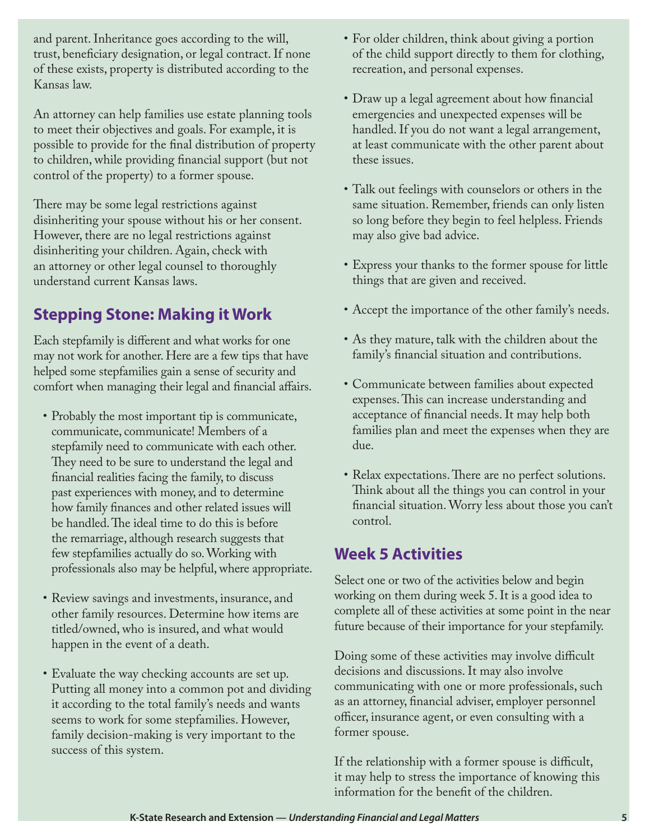and parent. Inheritance goes according to the will, trust, beneficiary designation, or legal contract. If none of these exists, property is distributed according to the Kansas law.

An attorney can help families use estate planning tools to meet their objectives and goals. For example, it is possible to provide for the final distribution of property to children, while providing financial support (but not control of the property) to a former spouse.

There may be some legal restrictions against disinheriting your spouse without his or her consent. However, there are no legal restrictions against disinheriting your children. Again, check with an attorney or other legal counsel to thoroughly understand current Kansas laws.

## **Stepping Stone: Making it Work**

Each stepfamily is different and what works for one may not work for another. Here are a few tips that have helped some stepfamilies gain a sense of security and comfort when managing their legal and financial affairs.

- Probably the most important tip is communicate, communicate, communicate! Members of a stepfamily need to communicate with each other. They need to be sure to understand the legal and financial realities facing the family, to discuss past experiences with money, and to determine how family finances and other related issues will be handled. The ideal time to do this is before the remarriage, although research suggests that few stepfamilies actually do so. Working with professionals also may be helpful, where appropriate.
- Review savings and investments, insurance, and other family resources. Determine how items are titled/owned, who is insured, and what would happen in the event of a death.
- Evaluate the way checking accounts are set up. Putting all money into a common pot and dividing it according to the total family's needs and wants seems to work for some stepfamilies. However, family decision-making is very important to the success of this system.
- For older children, think about giving a portion of the child support directly to them for clothing, recreation, and personal expenses.
- • Draw up a legal agreement about how financial emergencies and unexpected expenses will be handled. If you do not want a legal arrangement, at least communicate with the other parent about these issues.
- • Talk out feelings with counselors or others in the same situation. Remember, friends can only listen so long before they begin to feel helpless. Friends may also give bad advice.
- • Express your thanks to the former spouse for little things that are given and received.
- Accept the importance of the other family's needs.
- As they mature, talk with the children about the family's financial situation and contributions.
- • Communicate between families about expected expenses. This can increase understanding and acceptance of financial needs. It may help both families plan and meet the expenses when they are due.
- • Relax expectations. There are no perfect solutions. Think about all the things you can control in your financial situation. Worry less about those you can't control.

## **Week 5 Activities**

Select one or two of the activities below and begin working on them during week 5. It is a good idea to complete all of these activities at some point in the near future because of their importance for your stepfamily.

Doing some of these activities may involve difficult decisions and discussions. It may also involve communicating with one or more professionals, such as an attorney, financial adviser, employer personnel officer, insurance agent, or even consulting with a former spouse.

If the relationship with a former spouse is difficult, it may help to stress the importance of knowing this information for the benefit of the children.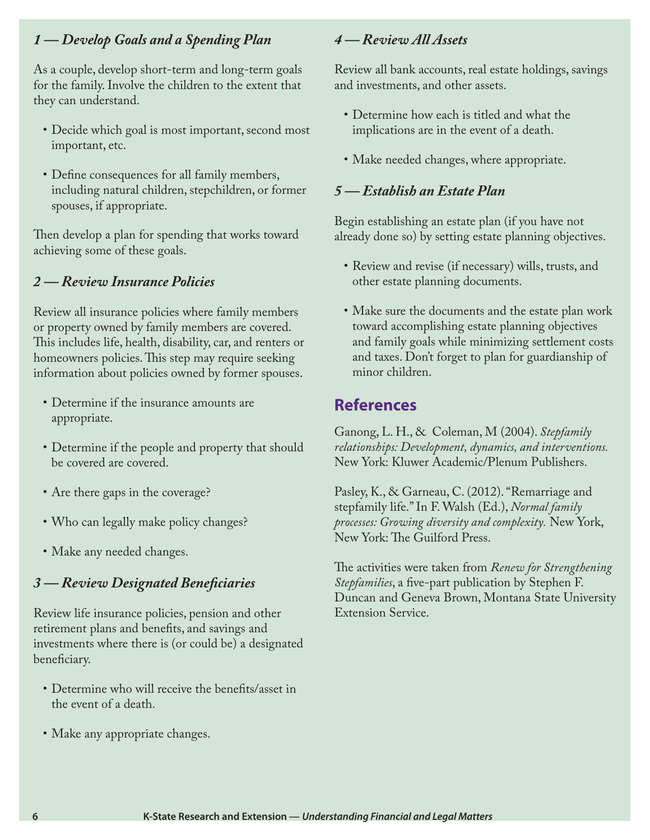#### *1 — Develop Goals and a Spending Plan*

As a couple, develop short-term and long-term goals for the family. Involve the children to the extent that they can understand.

- • Decide which goal is most important, second most important, etc.
- • Define consequences for all family members, including natural children, stepchildren, or former spouses, if appropriate.

Then develop a plan for spending that works toward achieving some of these goals.

#### *2 — Review Insurance Policies*

Review all insurance policies where family members or property owned by family members are covered. This includes life, health, disability, car, and renters or homeowners policies. This step may require seeking information about policies owned by former spouses.

- Determine if the insurance amounts are appropriate.
- • Determine if the people and property that should be covered are covered.
- Are there gaps in the coverage?
- Who can legally make policy changes?
- Make any needed changes.

#### *3 — Review Designated Beneficiaries*

Review life insurance policies, pension and other retirement plans and benefits, and savings and investments where there is (or could be) a designated beneficiary.

- Determine who will receive the benefits/asset in the event of a death.
- • Make any appropriate changes.

#### *4 — Review All Assets*

Review all bank accounts, real estate holdings, savings and investments, and other assets.

- Determine how each is titled and what the implications are in the event of a death.
- Make needed changes, where appropriate.

#### *5 — Establish an Estate Plan*

Begin establishing an estate plan (if you have not already done so) by setting estate planning objectives.

- Review and revise (if necessary) wills, trusts, and other estate planning documents.
- Make sure the documents and the estate plan work toward accomplishing estate planning objectives and family goals while minimizing settlement costs and taxes. Don't forget to plan for guardianship of minor children.

#### **References**

Ganong, L. H., & Coleman, M (2004). *Stepfamily relationships: Development, dynamics, and interventions.*  New York: Kluwer Academic/Plenum Publishers.

Pasley, K., & Garneau, C. (2012). "Remarriage and stepfamily life." In F. Walsh (Ed.), *Normal family processes: Growing diversity and complexity.* New York, New York: The Guilford Press.

The activities were taken from *Renew for Strengthening Stepfamilies*, a five-part publication by Stephen F. Duncan and Geneva Brown, Montana State University Extension Service.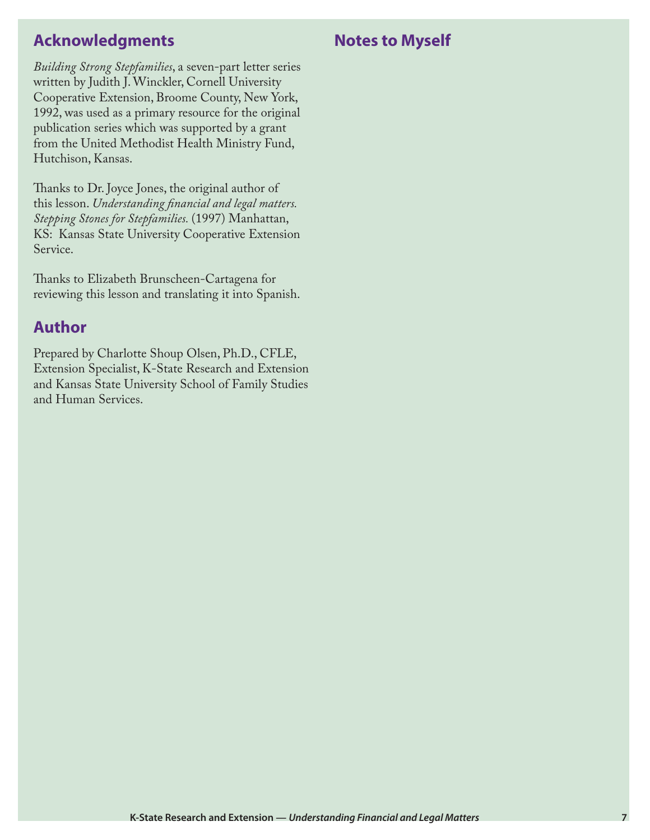## **Acknowledgments**

## **Notes to Myself**

*Building Strong Stepfamilies*, a seven-part letter series written by Judith J. Winckler, Cornell University Cooperative Extension, Broome County, New York, 1992, was used as a primary resource for the original publication series which was supported by a grant from the United Methodist Health Ministry Fund, Hutchison, Kansas.

Thanks to Dr. Joyce Jones, the original author of this lesson. *Understanding financial and legal matters. Stepping Stones for Stepfamilies.* (1997) Manhattan, KS: Kansas State University Cooperative Extension Service.

Thanks to Elizabeth Brunscheen-Cartagena for reviewing this lesson and translating it into Spanish.

## **Author**

Prepared by Charlotte Shoup Olsen, Ph.D., CFLE, Extension Specialist, K-State Research and Extension and Kansas State University School of Family Studies and Human Services.